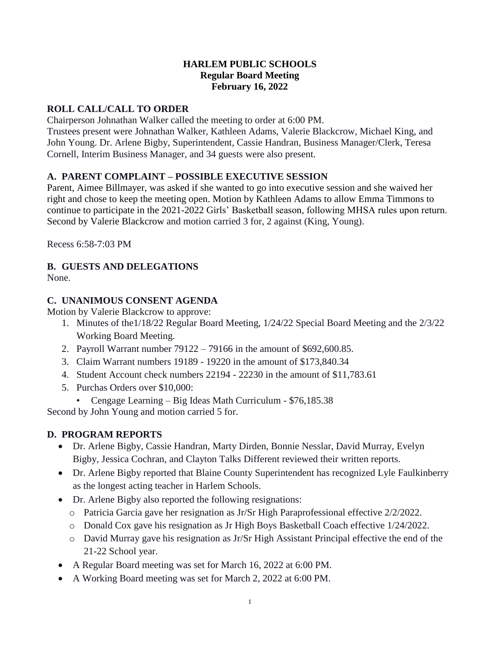#### **HARLEM PUBLIC SCHOOLS Regular Board Meeting February 16, 2022**

# **ROLL CALL/CALL TO ORDER**

Chairperson Johnathan Walker called the meeting to order at 6:00 PM.

Trustees present were Johnathan Walker, Kathleen Adams, Valerie Blackcrow, Michael King, and John Young. Dr. Arlene Bigby, Superintendent, Cassie Handran, Business Manager/Clerk, Teresa Cornell, Interim Business Manager, and 34 guests were also present.

#### **A. PARENT COMPLAINT – POSSIBLE EXECUTIVE SESSION**

Parent, Aimee Billmayer, was asked if she wanted to go into executive session and she waived her right and chose to keep the meeting open. Motion by Kathleen Adams to allow Emma Timmons to continue to participate in the 2021-2022 Girls' Basketball season, following MHSA rules upon return. Second by Valerie Blackcrow and motion carried 3 for, 2 against (King, Young).

Recess 6:58-7:03 PM

# **B. GUESTS AND DELEGATIONS**

None.

# **C. UNANIMOUS CONSENT AGENDA**

Motion by Valerie Blackcrow to approve:

- 1. Minutes of the1/18/22 Regular Board Meeting, 1/24/22 Special Board Meeting and the 2/3/22 Working Board Meeting.
- 2. Payroll Warrant number 79122 79166 in the amount of \$692,600.85.
- 3. Claim Warrant numbers 19189 19220 in the amount of \$173,840.34
- 4. Student Account check numbers 22194 22230 in the amount of \$11,783.61
- 5. Purchas Orders over \$10,000:
- Cengage Learning Big Ideas Math Curriculum \$76,185.38

Second by John Young and motion carried 5 for.

# **D. PROGRAM REPORTS**

- Dr. Arlene Bigby, Cassie Handran, Marty Dirden, Bonnie Nesslar, David Murray, Evelyn Bigby, Jessica Cochran, and Clayton Talks Different reviewed their written reports.
- Dr. Arlene Bigby reported that Blaine County Superintendent has recognized Lyle Faulkinberry as the longest acting teacher in Harlem Schools.
- Dr. Arlene Bigby also reported the following resignations:
	- o Patricia Garcia gave her resignation as Jr/Sr High Paraprofessional effective 2/2/2022.
	- o Donald Cox gave his resignation as Jr High Boys Basketball Coach effective 1/24/2022.
	- o David Murray gave his resignation as Jr/Sr High Assistant Principal effective the end of the 21-22 School year.
- A Regular Board meeting was set for March 16, 2022 at 6:00 PM.
- A Working Board meeting was set for March 2, 2022 at 6:00 PM.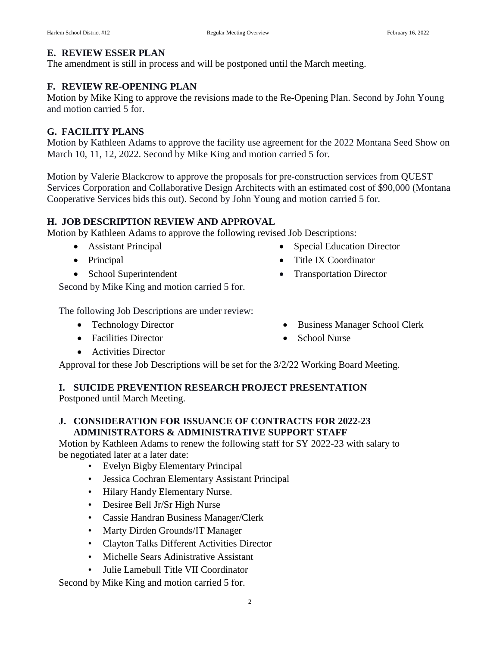## **E. REVIEW ESSER PLAN**

The amendment is still in process and will be postponed until the March meeting.

## **F. REVIEW RE-OPENING PLAN**

Motion by Mike King to approve the revisions made to the Re-Opening Plan. Second by John Young and motion carried 5 for.

## **G. FACILITY PLANS**

Motion by Kathleen Adams to approve the facility use agreement for the 2022 Montana Seed Show on March 10, 11, 12, 2022. Second by Mike King and motion carried 5 for.

Motion by Valerie Blackcrow to approve the proposals for pre-construction services from QUEST Services Corporation and Collaborative Design Architects with an estimated cost of \$90,000 (Montana Cooperative Services bids this out). Second by John Young and motion carried 5 for.

#### **H. JOB DESCRIPTION REVIEW AND APPROVAL**

Motion by Kathleen Adams to approve the following revised Job Descriptions:

- Assistant Principal
- Principal
- School Superintendent

• Special Education Director

• Business Manager School Clerk

Title IX Coordinator

• School Nurse

• Transportation Director

Second by Mike King and motion carried 5 for.

The following Job Descriptions are under review:

- Technology Director
- Facilities Director
- **•** Activities Director
- Approval for these Job Descriptions will be set for the 3/2/22 Working Board Meeting.

# **I. SUICIDE PREVENTION RESEARCH PROJECT PRESENTATION**

Postponed until March Meeting.

#### **J. CONSIDERATION FOR ISSUANCE OF CONTRACTS FOR 2022-23 ADMINISTRATORS & ADMINISTRATIVE SUPPORT STAFF**

Motion by Kathleen Adams to renew the following staff for SY 2022-23 with salary to be negotiated later at a later date:

- Evelyn Bigby Elementary Principal
- Jessica Cochran Elementary Assistant Principal
- Hilary Handy Elementary Nurse.
- Desiree Bell Jr/Sr High Nurse
- Cassie Handran Business Manager/Clerk
- Marty Dirden Grounds/IT Manager
- Clayton Talks Different Activities Director
- Michelle Sears Adinistrative Assistant
- Julie Lamebull Title VII Coordinator

Second by Mike King and motion carried 5 for.